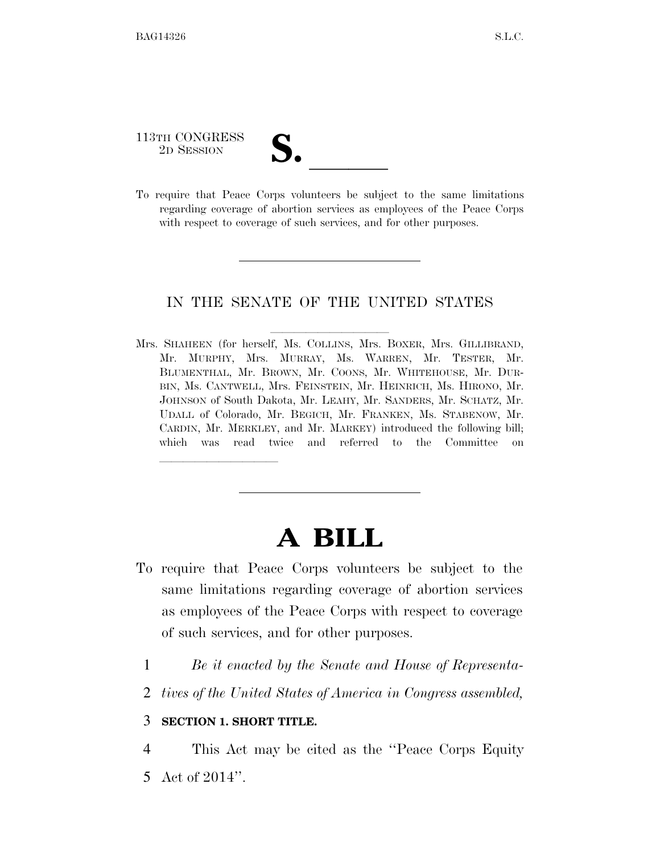113TH CONGRESS

113TH CONGRESS<br>
2D SESSION<br>
To require that Peace Corps volunteers be subject to the same limitations regarding coverage of abortion services as employees of the Peace Corps with respect to coverage of such services, and for other purposes.

## IN THE SENATE OF THE UNITED STATES

Mrs. SHAHEEN (for herself, Ms. COLLINS, Mrs. BOXER, Mrs. GILLIBRAND, Mr. MURPHY, Mrs. MURRAY, Ms. WARREN, Mr. TESTER, Mr. BLUMENTHAL, Mr. BROWN, Mr. COONS, Mr. WHITEHOUSE, Mr. DUR-BIN, Ms. CANTWELL, Mrs. FEINSTEIN, Mr. HEINRICH, Ms. HIRONO, Mr. JOHNSON of South Dakota, Mr. LEAHY, Mr. SANDERS, Mr. SCHATZ, Mr. UDALL of Colorado, Mr. BEGICH, Mr. FRANKEN, Ms. STABENOW, Mr. CARDIN, Mr. MERKLEY, and Mr. MARKEY) introduced the following bill; which was read twice and referred to the Committee on

## **A BILL**

- To require that Peace Corps volunteers be subject to the same limitations regarding coverage of abortion services as employees of the Peace Corps with respect to coverage of such services, and for other purposes.
	- 1 *Be it enacted by the Senate and House of Representa-*
	- 2 *tives of the United States of America in Congress assembled,*

## 3 **SECTION 1. SHORT TITLE.**

<u>llille som starte som starte som starte som s</u>

4 This Act may be cited as the ''Peace Corps Equity 5 Act of 2014''.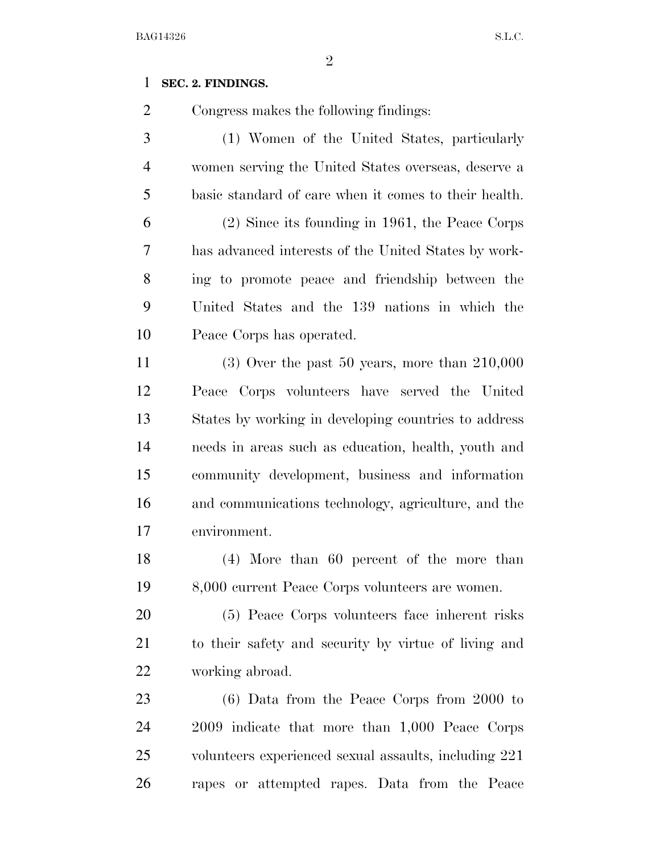## **SEC. 2. FINDINGS.**

Congress makes the following findings:

 (1) Women of the United States, particularly women serving the United States overseas, deserve a basic standard of care when it comes to their health. (2) Since its founding in 1961, the Peace Corps has advanced interests of the United States by work-ing to promote peace and friendship between the

 United States and the 139 nations in which the Peace Corps has operated.

 (3) Over the past 50 years, more than 210,000 Peace Corps volunteers have served the United States by working in developing countries to address needs in areas such as education, health, youth and community development, business and information and communications technology, agriculture, and the environment.

 (4) More than 60 percent of the more than 8,000 current Peace Corps volunteers are women.

 (5) Peace Corps volunteers face inherent risks to their safety and security by virtue of living and working abroad.

 (6) Data from the Peace Corps from 2000 to 2009 indicate that more than 1,000 Peace Corps volunteers experienced sexual assaults, including 221 rapes or attempted rapes. Data from the Peace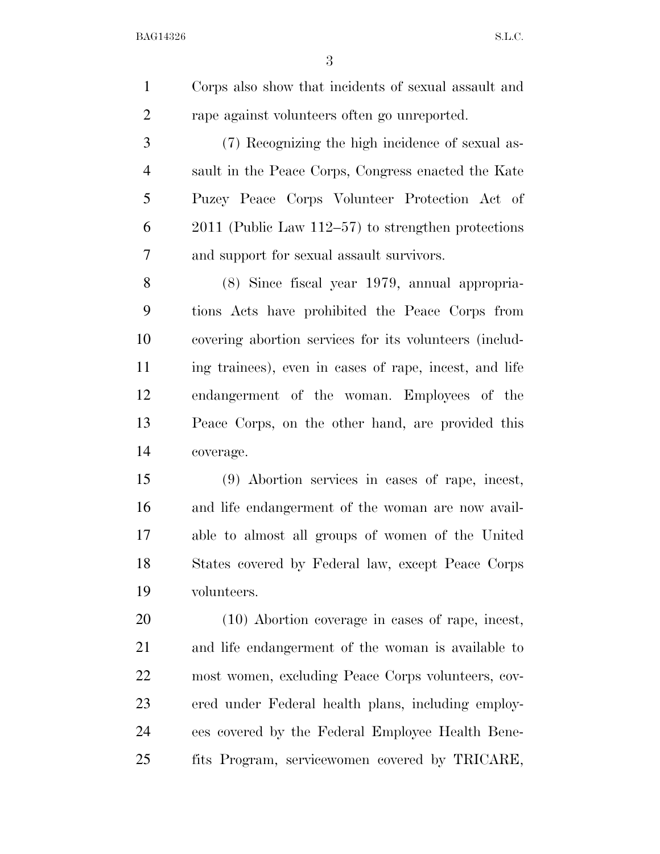BAG14326 S.L.C.

| $\mathbf{1}$   | Corps also show that incidents of sexual assault and   |
|----------------|--------------------------------------------------------|
| $\overline{2}$ | rape against volunteers often go unreported.           |
| 3              | (7) Recognizing the high incidence of sexual as-       |
| $\overline{4}$ | sault in the Peace Corps, Congress enacted the Kate    |
| 5              | Puzey Peace Corps Volunteer Protection Act of          |
| 6              | $2011$ (Public Law 112–57) to strengthen protections   |
| 7              | and support for sexual assault survivors.              |
| 8              | (8) Since fiscal year 1979, annual appropria-          |
| 9              | tions Acts have prohibited the Peace Corps from        |
| 10             | covering abortion services for its volunteers (includ- |
| 11             | ing trainees), even in cases of rape, incest, and life |
| 12             | endangerment of the woman. Employees of the            |
| 13             | Peace Corps, on the other hand, are provided this      |
| 14             | coverage.                                              |
| 15             | (9) Abortion services in cases of rape, incest,        |
| 16             | and life endangerment of the woman are now avail-      |
| 17             | able to almost all groups of women of the United       |
| 18             | States covered by Federal law, except Peace Corps      |
| 19             | volunteers.                                            |
| 20             | (10) Abortion coverage in cases of rape, incest,       |
| 21             | and life endangerment of the woman is available to     |
| 22             | most women, excluding Peace Corps volunteers, cov-     |
| 23             | ered under Federal health plans, including employ-     |
| 24             | ees covered by the Federal Employee Health Bene-       |
| 25             | fits Program, servicewomen covered by TRICARE,         |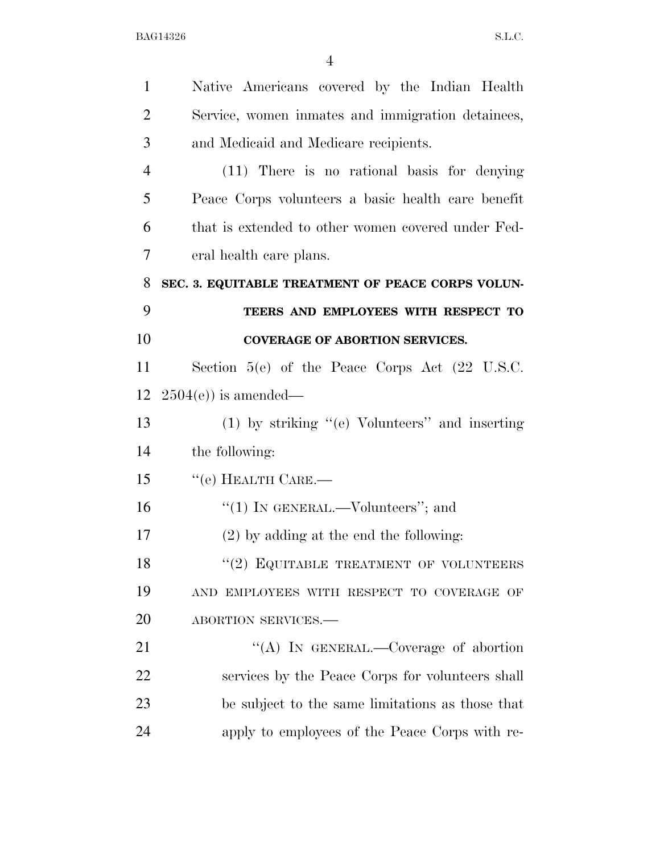| $\mathbf{1}$   | Native Americans covered by the Indian Health               |
|----------------|-------------------------------------------------------------|
| $\overline{2}$ | Service, women inmates and immigration detainees,           |
| 3              | and Medicaid and Medicare recipients.                       |
| $\overline{4}$ | (11) There is no rational basis for denying                 |
| 5              | Peace Corps volunteers a basic health care benefit          |
| 6              | that is extended to other women covered under Fed-          |
| $\overline{7}$ | eral health care plans.                                     |
| 8              | SEC. 3. EQUITABLE TREATMENT OF PEACE CORPS VOLUN-           |
| 9              | TEERS AND EMPLOYEES WITH RESPECT TO                         |
| 10             | <b>COVERAGE OF ABORTION SERVICES.</b>                       |
| 11             | Section $5(e)$ of the Peace Corps Act $(22 \text{ U.S.C.})$ |
| 12             | $2504(e)$ is amended—                                       |
| 13             | $(1)$ by striking "(e) Volunteers" and inserting            |
| 14             | the following:                                              |
| 15             | $``$ (e) HEALTH CARE.—                                      |
| 16             |                                                             |
|                | "(1) IN GENERAL.—Volunteers"; and                           |
| 17             | $(2)$ by adding at the end the following:                   |
| 18             | $``(2)$ EQUITABLE TREATMENT OF VOLUNTEERS                   |
| 19             | AND EMPLOYEES WITH RESPECT TO COVERAGE OF                   |
| 20             | ABORTION SERVICES.-                                         |
| 21             | "(A) IN GENERAL.—Coverage of abortion                       |
| 22             | services by the Peace Corps for volunteers shall            |
| 23             | be subject to the same limitations as those that            |